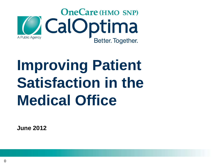

# **Improving Patient Satisfaction in the Medical Office**

**June 2012**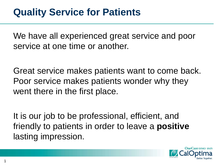#### **Quality Service for Patients**

We have all experienced great service and poor service at one time or another.

Great service makes patients want to come back. Poor service makes patients wonder why they went there in the first place.

It is our job to be professional, efficient, and friendly to patients in order to leave a **positive** lasting impression.

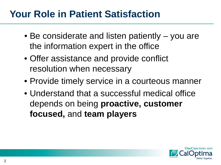### **Your Role in Patient Satisfaction**

- Be considerate and listen patiently you are the information expert in the office
- Offer assistance and provide conflict resolution when necessary
- Provide timely service in a courteous manner
- Understand that a successful medical office depends on being **proactive, customer focused,** and **team players**

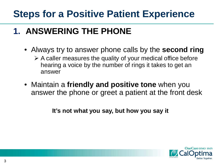#### **1. ANSWERING THE PHONE**

- Always try to answer phone calls by the **second ring**
	- $\triangleright$  A caller measures the quality of your medical office before hearing a voice by the number of rings it takes to get an answer
- Maintain a **friendly and positive tone** when you answer the phone or greet a patient at the front desk

**It's not what you say, but how you say it**

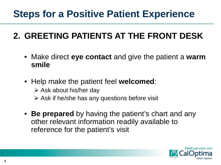#### **2. GREETING PATIENTS AT THE FRONT DESK**

- Make direct **eye contact** and give the patient a **warm smile**
- Help make the patient feel **welcomed**:
	- $\triangleright$  Ask about his/her day
	- $\triangleright$  Ask if he/she has any questions before visit
- **Be prepared** by having the patient's chart and any other relevant information readily available to reference for the patient's visit

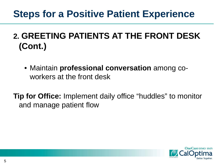#### **2. GREETING PATIENTS AT THE FRONT DESK (Cont.)**

• Maintain **professional conversation** among coworkers at the front desk

**Tip for Office:** Implement daily office "huddles" to monitor and manage patient flow

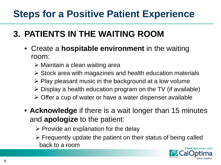#### **3. PATIENTS IN THE WAITING ROOM**

- Create a **hospitable environment** in the waiting room:
	- Maintain a clean waiting area
	- $\triangleright$  Stock area with magazines and health education materials
	- $\triangleright$  Play pleasant music in the background at a low volume
	- $\triangleright$  Display a health education program on the TV (if available)
	- $\triangleright$  Offer a cup of water or have a water dispenser available
- **Acknowledge** if there is a wait longer than 15 minutes and **apologize** to the patient:
	- $\triangleright$  Provide an explanation for the delay
	- $\triangleright$  Frequently update the patient on their status of being called back to a room

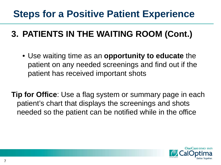#### **3. PATIENTS IN THE WAITING ROOM (Cont.)**

- Use waiting time as an **opportunity to educate** the patient on any needed screenings and find out if the patient has received important shots
- **Tip for Office**: Use a flag system or summary page in each patient's chart that displays the screenings and shots needed so the patient can be notified while in the office

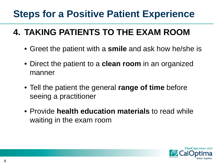#### **4. TAKING PATIENTS TO THE EXAM ROOM**

- Greet the patient with a **smile** and ask how he/she is
- Direct the patient to a **clean room** in an organized manner
- Tell the patient the general **range of time** before seeing a practitioner
- Provide **health education materials** to read while waiting in the exam room

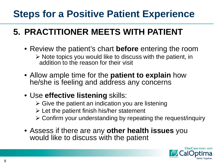#### **5. PRACTITIONER MEETS WITH PATIENT**

- Review the patient's chart **before** entering the room  $\triangleright$  Note topics you would like to discuss with the patient, in addition to the reason for their visit
- Allow ample time for the **patient to explain** how he/she is feeling and address any concerns
- Use **effective listening** skills:
	- $\triangleright$  Give the patient an indication you are listening
	- $\triangleright$  Let the patient finish his/her statement
	- Confirm your understanding by repeating the request/inquiry
- Assess if there are any **other health issues** you would like to discuss with the patient

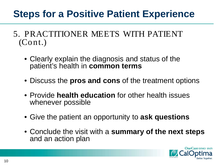- 5. PRACTITIONER MEETS WITH PATIENT (Cont.)
	- Clearly explain the diagnosis and status of the patient's health in **common terms**
	- Discuss the **pros and cons** of the treatment options
	- Provide **health education** for other health issues whenever possible
	- Give the patient an opportunity to **ask questions**
	- Conclude the visit with a **summary of the next steps**  and an action plan

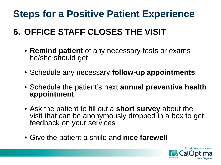#### **6. OFFICE STAFF CLOSES THE VISIT**

- **Remind patient** of any necessary tests or exams he/she should get
- Schedule any necessary **follow-up appointments**
- Schedule the patient's next **annual preventive health appointment**
- Ask the patient to fill out a **short survey** about the visit that can be anonymously dropped in a box to get feedback on your services
- Give the patient a smile and **nice farewell**

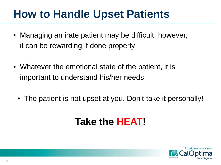- Managing an irate patient may be difficult; however, it can be rewarding if done properly
- Whatever the emotional state of the patient, it is important to understand his/her needs
	- The patient is not upset at you. Don't take it personally!

### **Take the HEAT!**

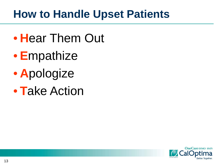- **H**ear Them Out
- **E**mpathize
- **A**pologize
- **T**ake Action

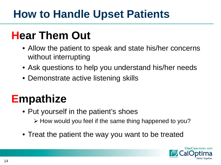## **Hear Them Out**

- Allow the patient to speak and state his/her concerns without interrupting
- Ask questions to help you understand his/her needs
- Demonstrate active listening skills

## **Empathize**

- Put yourself in the patient's shoes
	- $\triangleright$  How would you feel if the same thing happened to you?
- Treat the patient the way you want to be treated

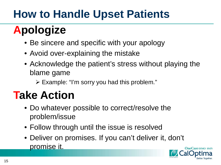## **Apologize**

- Be sincere and specific with your apology
- Avoid over-explaining the mistake
- Acknowledge the patient's stress without playing the blame game
	- $\triangleright$  Example: "I'm sorry you had this problem."

## **Take Action**

- Do whatever possible to correct/resolve the problem/issue
- Follow through until the issue is resolved
- Deliver on promises. If you can't deliver it, don't promise it.

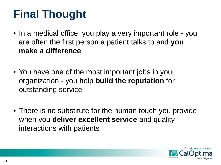## **Final Thought**

- In a medical office, you play a very important role you are often the first person a patient talks to and **you make a difference**
- You have one of the most important jobs in your organization - you help **build the reputation** for outstanding service
- There is no substitute for the human touch you provide when you **deliver excellent service** and quality interactions with patients

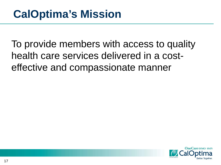To provide members with access to quality health care services delivered in a costeffective and compassionate manner

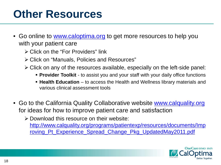## **Other Resources**

- Go online to [www.caloptima.org](http://www.caloptima.org/) to get more resources to help you with your patient care
	- Click on the "For Providers" link
	- Click on "Manuals, Policies and Resources"
	- $\triangleright$  Click on any of the resources available, especially on the left-side panel:
		- **Provider Toolkit** to assist you and your staff with your daily office functions
		- **Health Education**  to access the Health and Wellness library materials and various clinical assessment tools
- Go to the California Quality Collaborative website [www.calquality.org](http://www.calquality.org/) for ideas for how to improve patient care and satisfaction

 Download this resource on their website: [http://www.calquality.org/programs/patientexp/resources/documents/Imp](http://www.calquality.org/programs/patientexp/resources/documents/Improving_Pt_Experience_Spread_Change_Pkg_UpdatedMay2011.pdf) [roving\\_Pt\\_Experience\\_Spread\\_Change\\_Pkg\\_UpdatedMay2011.pdf](http://www.calquality.org/programs/patientexp/resources/documents/Improving_Pt_Experience_Spread_Change_Pkg_UpdatedMay2011.pdf)